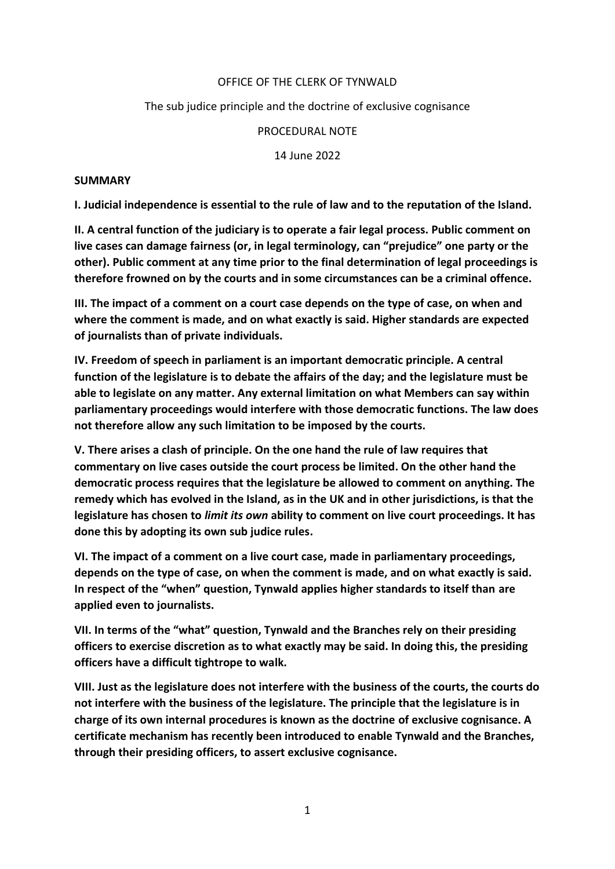#### OFFICE OF THE CLERK OF TYNWALD

### The sub judice principle and the doctrine of exclusive cognisance

#### PROCEDURAL NOTE

14 June 2022

#### **SUMMARY**

**I. Judicial independence is essential to the rule of law and to the reputation of the Island.**

**II. A central function of the judiciary is to operate a fair legal process. Public comment on live cases can damage fairness (or, in legal terminology, can "prejudice" one party or the other). Public comment at any time prior to the final determination of legal proceedings is therefore frowned on by the courts and in some circumstances can be a criminal offence.**

**III. The impact of a comment on a court case depends on the type of case, on when and where the comment is made, and on what exactly is said. Higher standards are expected of journalists than of private individuals.**

**IV. Freedom of speech in parliament is an important democratic principle. A central function of the legislature is to debate the affairs of the day; and the legislature must be able to legislate on any matter. Any external limitation on what Members can say within parliamentary proceedings would interfere with those democratic functions. The law does not therefore allow any such limitation to be imposed by the courts.**

**V. There arises a clash of principle. On the one hand the rule of law requires that commentary on live cases outside the court process be limited. On the other hand the democratic process requires that the legislature be allowed to comment on anything. The remedy which has evolved in the Island, as in the UK and in other jurisdictions, is that the legislature has chosen to** *limit its own* **ability to comment on live court proceedings. It has done this by adopting its own sub judice rules.**

**VI. The impact of a comment on a live court case, made in parliamentary proceedings, depends on the type of case, on when the comment is made, and on what exactly is said. In respect of the "when" question, Tynwald applies higher standards to itself than are applied even to journalists.** 

**VII. In terms of the "what" question, Tynwald and the Branches rely on their presiding officers to exercise discretion as to what exactly may be said. In doing this, the presiding officers have a difficult tightrope to walk.**

**VIII. Just as the legislature does not interfere with the business of the courts, the courts do not interfere with the business of the legislature. The principle that the legislature is in charge of its own internal procedures is known as the doctrine of exclusive cognisance. A certificate mechanism has recently been introduced to enable Tynwald and the Branches, through their presiding officers, to assert exclusive cognisance.**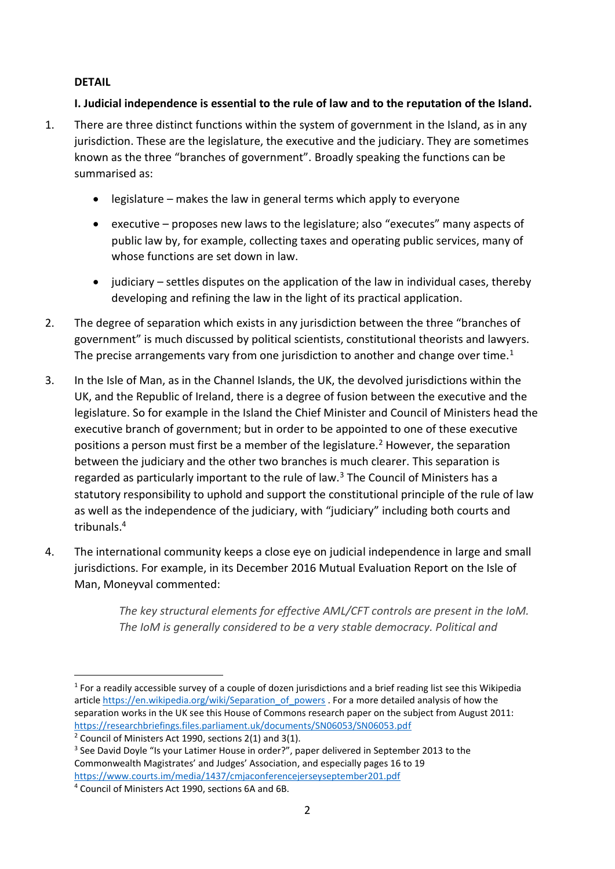### **DETAIL**

# **I. Judicial independence is essential to the rule of law and to the reputation of the Island.**

- 1. There are three distinct functions within the system of government in the Island, as in any jurisdiction. These are the legislature, the executive and the judiciary. They are sometimes known as the three "branches of government". Broadly speaking the functions can be summarised as:
	- $\bullet$  legislature makes the law in general terms which apply to everyone
	- executive proposes new laws to the legislature; also "executes" many aspects of public law by, for example, collecting taxes and operating public services, many of whose functions are set down in law.
	- judiciary settles disputes on the application of the law in individual cases, thereby developing and refining the law in the light of its practical application.
- 2. The degree of separation which exists in any jurisdiction between the three "branches of government" is much discussed by political scientists, constitutional theorists and lawyers. The precise arrangements vary from one jurisdiction to another and change over time.<sup>1</sup>
- 3. In the Isle of Man, as in the Channel Islands, the UK, the devolved jurisdictions within the UK, and the Republic of Ireland, there is a degree of fusion between the executive and the legislature. So for example in the Island the Chief Minister and Council of Ministers head the executive branch of government; but in order to be appointed to one of these executive positions a person must first be a member of the legislature.<sup>2</sup> However, the separation between the judiciary and the other two branches is much clearer. This separation is regarded as particularly important to the rule of law. $3$  The Council of Ministers has a statutory responsibility to uphold and support the constitutional principle of the rule of law as well as the independence of the judiciary, with "judiciary" including both courts and tribunals. 4
- 4. The international community keeps a close eye on judicial independence in large and small jurisdictions. For example, in its December 2016 Mutual Evaluation Report on the Isle of Man, Moneyval commented:

*The key structural elements for effective AML/CFT controls are present in the IoM. The IoM is generally considered to be a very stable democracy. Political and* 

<sup>-</sup> $1$  For a readily accessible survey of a couple of dozen jurisdictions and a brief reading list see this Wikipedia article https://en.wikipedia.org/wiki/Separation of powers . For a more detailed analysis of how the separation works in the UK see this House of Commons research paper on the subject from August 2011: https://researchbriefings.files.parliament.uk/documents/SN06053/SN06053.pdf

<sup>&</sup>lt;sup>2</sup> Council of Ministers Act 1990, sections  $2(1)$  and  $3(1)$ .

<sup>&</sup>lt;sup>3</sup> See David Doyle "Is your Latimer House in order?", paper delivered in September 2013 to the Commonwealth Magistrates' and Judges' Association, and especially pages 16 to 19 https://www.courts.im/media/1437/cmjaconferencejerseyseptember201.pdf

<sup>4</sup> Council of Ministers Act 1990, sections 6A and 6B.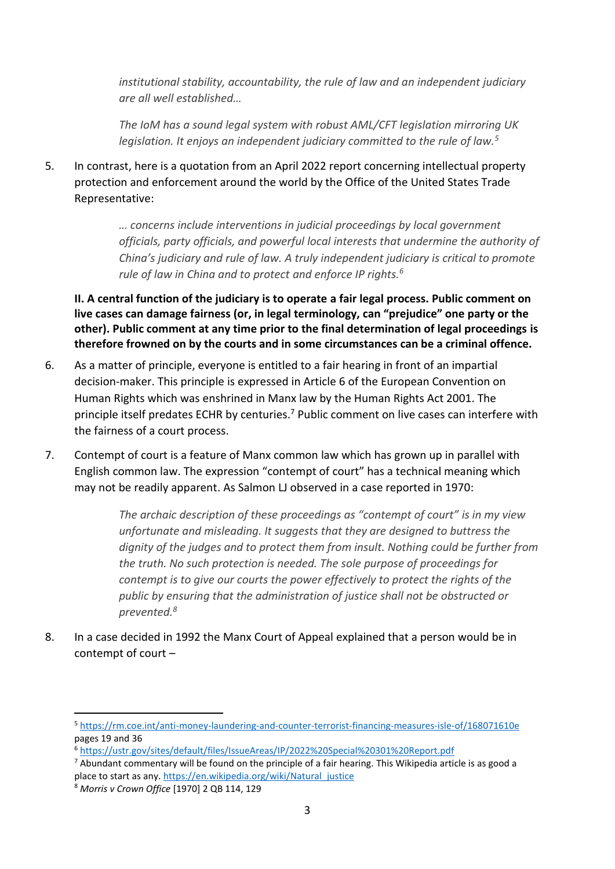*institutional stability, accountability, the rule of law and an independent judiciary are all well established…*

*The IoM has a sound legal system with robust AML/CFT legislation mirroring UK legislation. It enjoys an independent judiciary committed to the rule of law.<sup>5</sup>*

5. In contrast, here is a quotation from an April 2022 report concerning intellectual property protection and enforcement around the world by the Office of the United States Trade Representative:

> *… concerns include interventions in judicial proceedings by local government officials, party officials, and powerful local interests that undermine the authority of China's judiciary and rule of law. A truly independent judiciary is critical to promote rule of law in China and to protect and enforce IP rights.<sup>6</sup>*

**II. A central function of the judiciary is to operate a fair legal process. Public comment on live cases can damage fairness (or, in legal terminology, can "prejudice" one party or the other). Public comment at any time prior to the final determination of legal proceedings is therefore frowned on by the courts and in some circumstances can be a criminal offence.**

- 6. As a matter of principle, everyone is entitled to a fair hearing in front of an impartial decision-maker. This principle is expressed in Article 6 of the European Convention on Human Rights which was enshrined in Manx law by the Human Rights Act 2001. The principle itself predates ECHR by centuries.<sup>7</sup> Public comment on live cases can interfere with the fairness of a court process.
- 7. Contempt of court is a feature of Manx common law which has grown up in parallel with English common law. The expression "contempt of court" has a technical meaning which may not be readily apparent. As Salmon LJ observed in a case reported in 1970:

*The archaic description of these proceedings as "contempt of court" is in my view unfortunate and misleading. It suggests that they are designed to buttress the dignity of the judges and to protect them from insult. Nothing could be further from the truth. No such protection is needed. The sole purpose of proceedings for contempt is to give our courts the power effectively to protect the rights of the public by ensuring that the administration of justice shall not be obstructed or prevented.<sup>8</sup>*

8. In a case decided in 1992 the Manx Court of Appeal explained that a person would be in contempt of court –

1

<sup>5</sup> https://rm.coe.int/anti-money-laundering-and-counter-terrorist-financing-measures-isle-of/168071610e pages 19 and 36

<sup>6</sup> https://ustr.gov/sites/default/files/IssueAreas/IP/2022%20Special%20301%20Report.pdf

 $7$  Abundant commentary will be found on the principle of a fair hearing. This Wikipedia article is as good a place to start as any. https://en.wikipedia.org/wiki/Natural\_justice

<sup>8</sup> *Morris v Crown Office* [1970] 2 QB 114, 129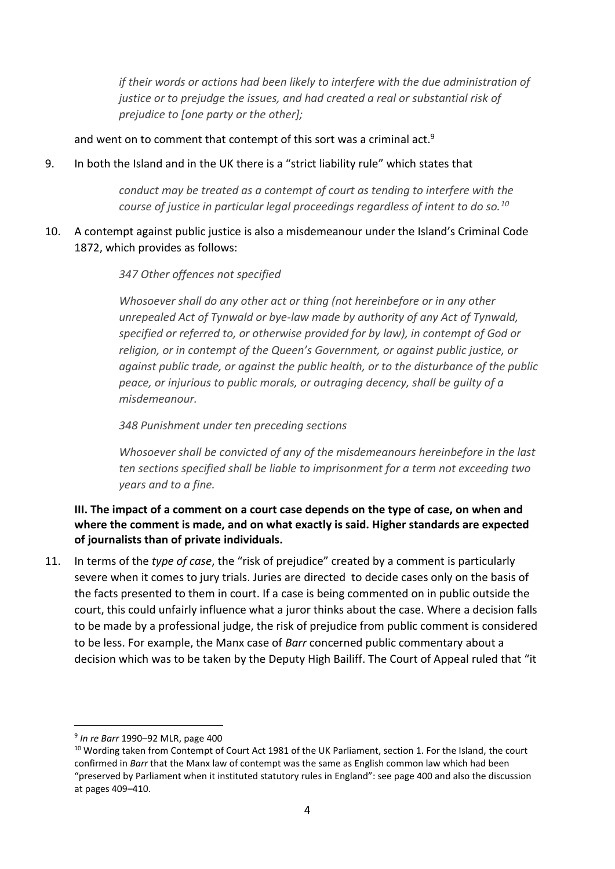*if their words or actions had been likely to interfere with the due administration of justice or to prejudge the issues, and had created a real or substantial risk of prejudice to [one party or the other];*

and went on to comment that contempt of this sort was a criminal act.<sup>9</sup>

9. In both the Island and in the UK there is a "strict liability rule" which states that

*conduct may be treated as a contempt of court as tending to interfere with the course of justice in particular legal proceedings regardless of intent to do so.<sup>10</sup>*

10. A contempt against public justice is also a misdemeanour under the Island's Criminal Code 1872, which provides as follows:

#### *347 Other offences not specified*

*Whosoever shall do any other act or thing (not hereinbefore or in any other unrepealed Act of Tynwald or bye-law made by authority of any Act of Tynwald, specified or referred to, or otherwise provided for by law), in contempt of God or religion, or in contempt of the Queen's Government, or against public justice, or against public trade, or against the public health, or to the disturbance of the public peace, or injurious to public morals, or outraging decency, shall be guilty of a misdemeanour.*

*348 Punishment under ten preceding sections* 

*Whosoever shall be convicted of any of the misdemeanours hereinbefore in the last ten sections specified shall be liable to imprisonment for a term not exceeding two years and to a fine.*

# **III. The impact of a comment on a court case depends on the type of case, on when and where the comment is made, and on what exactly is said. Higher standards are expected of journalists than of private individuals.**

11. In terms of the *type of case*, the "risk of prejudice" created by a comment is particularly severe when it comes to jury trials. Juries are directed to decide cases only on the basis of the facts presented to them in court. If a case is being commented on in public outside the court, this could unfairly influence what a juror thinks about the case. Where a decision falls to be made by a professional judge, the risk of prejudice from public comment is considered to be less. For example, the Manx case of *Barr* concerned public commentary about a decision which was to be taken by the Deputy High Bailiff. The Court of Appeal ruled that "it

-

<sup>9</sup> *In re Barr* 1990–92 MLR, page 400

<sup>&</sup>lt;sup>10</sup> Wording taken from Contempt of Court Act 1981 of the UK Parliament, section 1. For the Island, the court confirmed in *Barr* that the Manx law of contempt was the same as English common law which had been "preserved by Parliament when it instituted statutory rules in England": see page 400 and also the discussion at pages 409–410.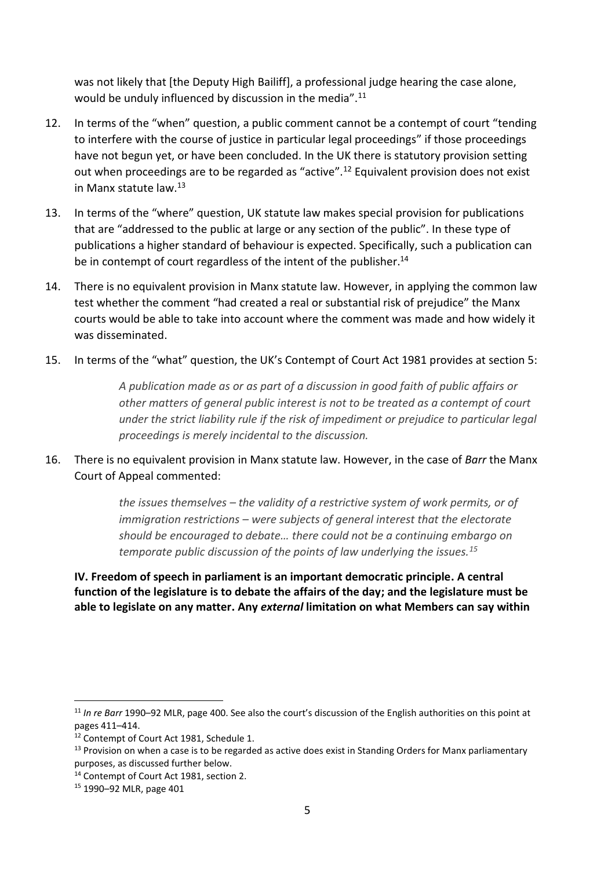was not likely that [the Deputy High Bailiff], a professional judge hearing the case alone, would be unduly influenced by discussion in the media".<sup>11</sup>

- 12. In terms of the "when" question, a public comment cannot be a contempt of court "tending to interfere with the course of justice in particular legal proceedings" if those proceedings have not begun yet, or have been concluded. In the UK there is statutory provision setting out when proceedings are to be regarded as "active".<sup>12</sup> Equivalent provision does not exist in Manx statute law  $13$
- 13. In terms of the "where" question, UK statute law makes special provision for publications that are "addressed to the public at large or any section of the public". In these type of publications a higher standard of behaviour is expected. Specifically, such a publication can be in contempt of court regardless of the intent of the publisher.<sup>14</sup>
- 14. There is no equivalent provision in Manx statute law. However, in applying the common law test whether the comment "had created a real or substantial risk of prejudice" the Manx courts would be able to take into account where the comment was made and how widely it was disseminated.
- 15. In terms of the "what" question, the UK's Contempt of Court Act 1981 provides at section 5:

*A publication made as or as part of a discussion in good faith of public affairs or other matters of general public interest is not to be treated as a contempt of court under the strict liability rule if the risk of impediment or prejudice to particular legal proceedings is merely incidental to the discussion.*

16. There is no equivalent provision in Manx statute law. However, in the case of *Barr* the Manx Court of Appeal commented:

> *the issues themselves – the validity of a restrictive system of work permits, or of immigration restrictions – were subjects of general interest that the electorate should be encouraged to debate… there could not be a continuing embargo on temporate public discussion of the points of law underlying the issues.<sup>15</sup>*

**IV. Freedom of speech in parliament is an important democratic principle. A central function of the legislature is to debate the affairs of the day; and the legislature must be able to legislate on any matter. Any** *external* **limitation on what Members can say within** 

-

<sup>11</sup> *In re Barr* 1990–92 MLR, page 400. See also the court's discussion of the English authorities on this point at pages 411–414.

<sup>&</sup>lt;sup>12</sup> Contempt of Court Act 1981, Schedule 1.

 $13$  Provision on when a case is to be regarded as active does exist in Standing Orders for Manx parliamentary purposes, as discussed further below.

<sup>&</sup>lt;sup>14</sup> Contempt of Court Act 1981, section 2.

<sup>15</sup> 1990–92 MLR, page 401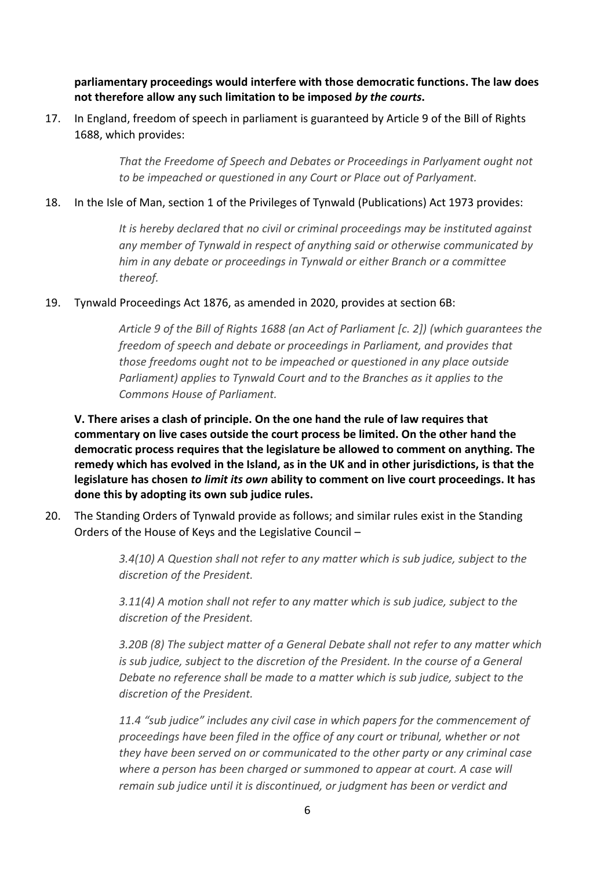**parliamentary proceedings would interfere with those democratic functions. The law does not therefore allow any such limitation to be imposed** *by the courts***.**

17. In England, freedom of speech in parliament is guaranteed by Article 9 of the Bill of Rights 1688, which provides:

> *That the Freedome of Speech and Debates or Proceedings in Parlyament ought not to be impeached or questioned in any Court or Place out of Parlyament.*

### 18. In the Isle of Man, section 1 of the Privileges of Tynwald (Publications) Act 1973 provides:

*It is hereby declared that no civil or criminal proceedings may be instituted against any member of Tynwald in respect of anything said or otherwise communicated by him in any debate or proceedings in Tynwald or either Branch or a committee thereof.*

#### 19. Tynwald Proceedings Act 1876, as amended in 2020, provides at section 6B:

*Article 9 of the Bill of Rights 1688 (an Act of Parliament [c. 2]) (which guarantees the freedom of speech and debate or proceedings in Parliament, and provides that those freedoms ought not to be impeached or questioned in any place outside Parliament) applies to Tynwald Court and to the Branches as it applies to the Commons House of Parliament.*

**V. There arises a clash of principle. On the one hand the rule of law requires that commentary on live cases outside the court process be limited. On the other hand the democratic process requires that the legislature be allowed to comment on anything. The remedy which has evolved in the Island, as in the UK and in other jurisdictions, is that the legislature has chosen** *to limit its own* **ability to comment on live court proceedings. It has done this by adopting its own sub judice rules.**

20. The Standing Orders of Tynwald provide as follows; and similar rules exist in the Standing Orders of the House of Keys and the Legislative Council –

> *3.4(10) A Question shall not refer to any matter which is sub judice, subject to the discretion of the President.*

*3.11(4) A motion shall not refer to any matter which is sub judice, subject to the discretion of the President.* 

*3.20B (8) The subject matter of a General Debate shall not refer to any matter which is sub judice, subject to the discretion of the President. In the course of a General Debate no reference shall be made to a matter which is sub judice, subject to the discretion of the President.*

*11.4 "sub judice" includes any civil case in which papers for the commencement of proceedings have been filed in the office of any court or tribunal, whether or not they have been served on or communicated to the other party or any criminal case where a person has been charged or summoned to appear at court. A case will remain sub judice until it is discontinued, or judgment has been or verdict and*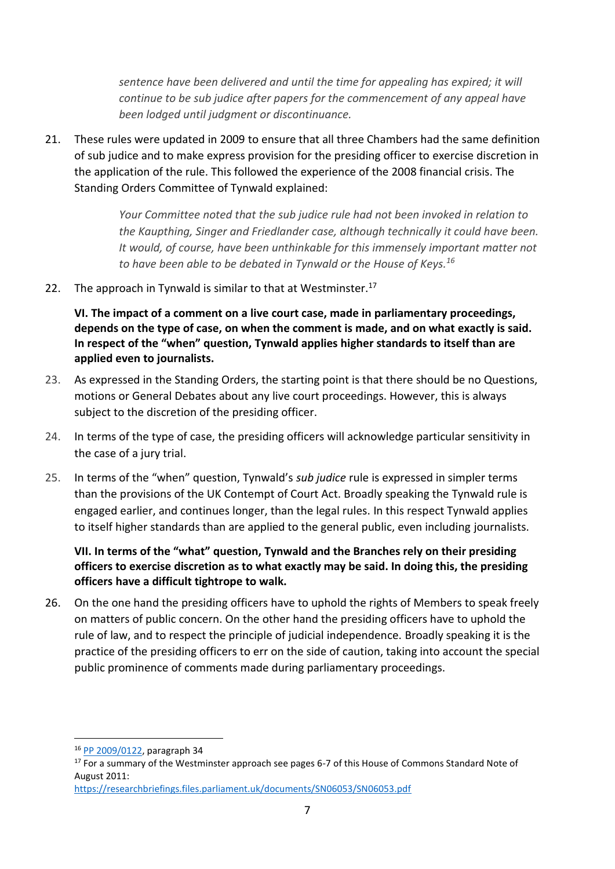*sentence have been delivered and until the time for appealing has expired; it will continue to be sub judice after papers for the commencement of any appeal have been lodged until judgment or discontinuance.* 

21. These rules were updated in 2009 to ensure that all three Chambers had the same definition of sub judice and to make express provision for the presiding officer to exercise discretion in the application of the rule. This followed the experience of the 2008 financial crisis. The Standing Orders Committee of Tynwald explained:

> *Your Committee noted that the sub judice rule had not been invoked in relation to the Kaupthing, Singer and Friedlander case, although technically it could have been. It would, of course, have been unthinkable for this immensely important matter not to have been able to be debated in Tynwald or the House of Keys.<sup>16</sup>*

22. The approach in Tynwald is similar to that at Westminster.<sup>17</sup>

**VI. The impact of a comment on a live court case, made in parliamentary proceedings, depends on the type of case, on when the comment is made, and on what exactly is said. In respect of the "when" question, Tynwald applies higher standards to itself than are applied even to journalists.**

- 23. As expressed in the Standing Orders, the starting point is that there should be no Questions, motions or General Debates about any live court proceedings. However, this is always subject to the discretion of the presiding officer.
- 24. In terms of the type of case, the presiding officers will acknowledge particular sensitivity in the case of a jury trial.
- 25. In terms of the "when" question, Tynwald's *sub judice* rule is expressed in simpler terms than the provisions of the UK Contempt of Court Act. Broadly speaking the Tynwald rule is engaged earlier, and continues longer, than the legal rules. In this respect Tynwald applies to itself higher standards than are applied to the general public, even including journalists.

# **VII. In terms of the "what" question, Tynwald and the Branches rely on their presiding officers to exercise discretion as to what exactly may be said. In doing this, the presiding officers have a difficult tightrope to walk.**

26. On the one hand the presiding officers have to uphold the rights of Members to speak freely on matters of public concern. On the other hand the presiding officers have to uphold the rule of law, and to respect the principle of judicial independence. Broadly speaking it is the practice of the presiding officers to err on the side of caution, taking into account the special public prominence of comments made during parliamentary proceedings.

-

<sup>16</sup> PP 2009/0122, paragraph 34

<sup>&</sup>lt;sup>17</sup> For a summary of the Westminster approach see pages 6-7 of this House of Commons Standard Note of August 2011:

https://researchbriefings.files.parliament.uk/documents/SN06053/SN06053.pdf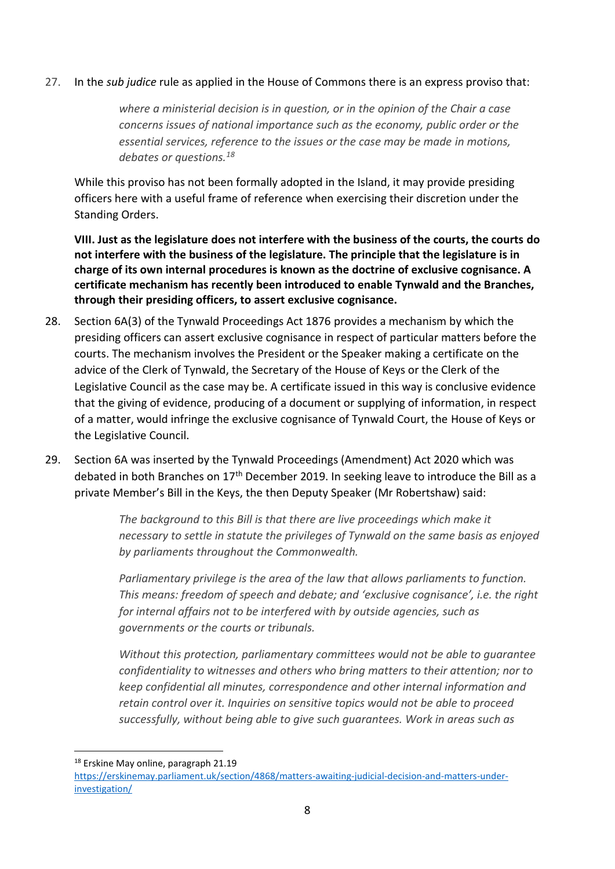### 27. In the *sub judice* rule as applied in the House of Commons there is an express proviso that:

*where a ministerial decision is in question, or in the opinion of the Chair a case concerns issues of national importance such as the economy, public order or the essential services, reference to the issues or the case may be made in motions, debates or questions.<sup>18</sup>*

While this proviso has not been formally adopted in the Island, it may provide presiding officers here with a useful frame of reference when exercising their discretion under the Standing Orders.

**VIII. Just as the legislature does not interfere with the business of the courts, the courts do not interfere with the business of the legislature. The principle that the legislature is in charge of its own internal procedures is known as the doctrine of exclusive cognisance. A certificate mechanism has recently been introduced to enable Tynwald and the Branches, through their presiding officers, to assert exclusive cognisance.**

- 28. Section 6A(3) of the Tynwald Proceedings Act 1876 provides a mechanism by which the presiding officers can assert exclusive cognisance in respect of particular matters before the courts. The mechanism involves the President or the Speaker making a certificate on the advice of the Clerk of Tynwald, the Secretary of the House of Keys or the Clerk of the Legislative Council as the case may be. A certificate issued in this way is conclusive evidence that the giving of evidence, producing of a document or supplying of information, in respect of a matter, would infringe the exclusive cognisance of Tynwald Court, the House of Keys or the Legislative Council.
- 29. Section 6A was inserted by the Tynwald Proceedings (Amendment) Act 2020 which was debated in both Branches on 17<sup>th</sup> December 2019. In seeking leave to introduce the Bill as a private Member's Bill in the Keys, the then Deputy Speaker (Mr Robertshaw) said:

*The background to this Bill is that there are live proceedings which make it necessary to settle in statute the privileges of Tynwald on the same basis as enjoyed by parliaments throughout the Commonwealth.*

*Parliamentary privilege is the area of the law that allows parliaments to function. This means: freedom of speech and debate; and 'exclusive cognisance', i.e. the right for internal affairs not to be interfered with by outside agencies, such as governments or the courts or tribunals.*

*Without this protection, parliamentary committees would not be able to guarantee confidentiality to witnesses and others who bring matters to their attention; nor to keep confidential all minutes, correspondence and other internal information and retain control over it. Inquiries on sensitive topics would not be able to proceed successfully, without being able to give such guarantees. Work in areas such as* 

<sup>1</sup> <sup>18</sup> Erskine May online, paragraph 21.19

https://erskinemay.parliament.uk/section/4868/matters-awaiting-judicial-decision-and-matters-underinvestigation/